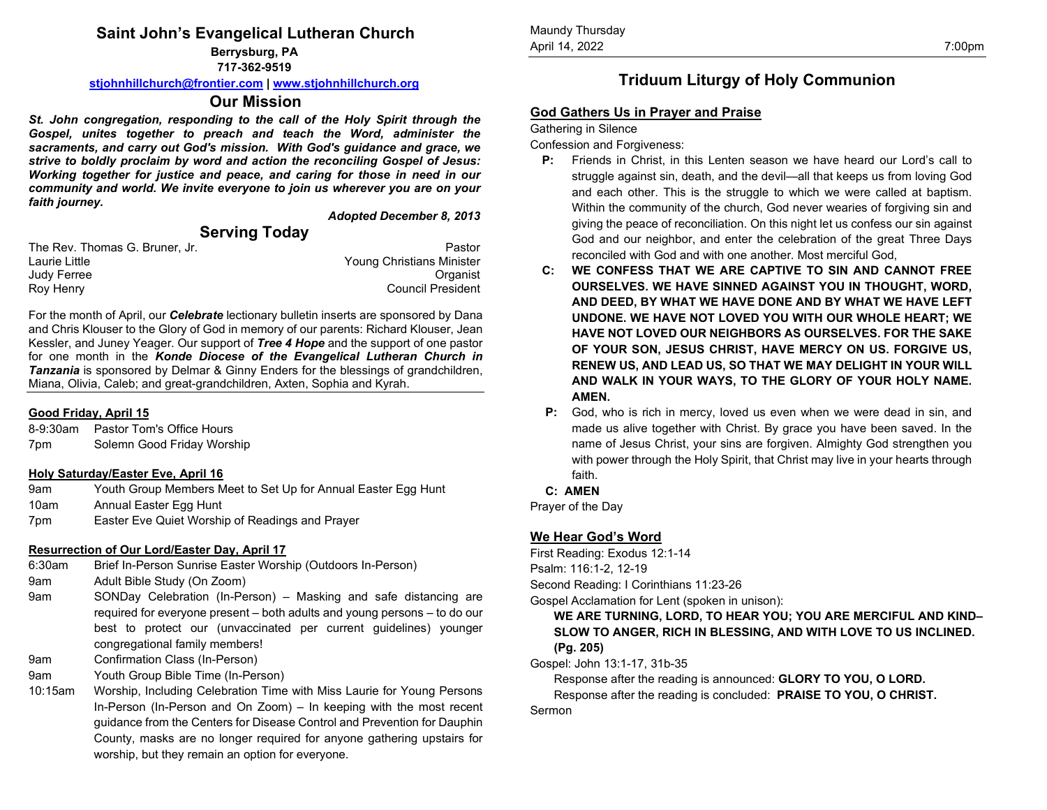# **Saint John's Evangelical Lutheran Church**

**Berrysburg, PA**

**717-362-9519**

**[stjohnhillchurch@frontier.com](mailto:stjohnhillchurch@frontier.com) [| www.stjohnhillchurch.org](http://www.stjohnhillchurch.org/)**

## **Our Mission**

*St. John congregation, responding to the call of the Holy Spirit through the Gospel, unites together to preach and teach the Word, administer the sacraments, and carry out God's mission. With God's guidance and grace, we strive to boldly proclaim by word and action the reconciling Gospel of Jesus: Working together for justice and peace, and caring for those in need in our community and world. We invite everyone to join us wherever you are on your faith journey.*

# **Serving Today**

*Adopted December 8, 2013*

| The Rev. Thomas G. Bruner. Jr. |  | Pastor                    |
|--------------------------------|--|---------------------------|
| Laurie Little                  |  | Young Christians Minister |
| Judy Ferree                    |  | Organist                  |
| Roy Henry                      |  | <b>Council President</b>  |

For the month of April, our *Celebrate* lectionary bulletin inserts are sponsored by Dana and Chris Klouser to the Glory of God in memory of our parents: Richard Klouser, Jean Kessler, and Juney Yeager. Our support of *Tree 4 Hope* and the support of one pastor for one month in the *Konde Diocese of the Evangelical Lutheran Church in Tanzania* is sponsored by Delmar & Ginny Enders for the blessings of grandchildren, Miana, Olivia, Caleb; and great-grandchildren, Axten, Sophia and Kyrah.

### **Good Friday, April 15**

| 8-9:30am | Pastor Tom's Office Hours  |
|----------|----------------------------|
| 7pm      | Solemn Good Friday Worship |

### **Holy Saturday/Easter Eve, April 16**

| 9am  | Youth Group Members Meet to Set Up for Annual Easter Egg Hunt |
|------|---------------------------------------------------------------|
| 10am | Annual Easter Egg Hunt                                        |
| 7pm  | Easter Eve Quiet Worship of Readings and Prayer               |

### **Resurrection of Our Lord/Easter Day, April 17**

6:30am Brief In-Person Sunrise Easter Worship (Outdoors In-Person)

9am Adult Bible Study (On Zoom)

- 9am SONDay Celebration (In-Person) Masking and safe distancing are required for everyone present – both adults and young persons – to do our best to protect our (unvaccinated per current guidelines) younger congregational family members!
- 9am Confirmation Class (In-Person)
- 9am Youth Group Bible Time (In-Person)
- 10:15am Worship, Including Celebration Time with Miss Laurie for Young Persons In-Person (In-Person and On Zoom) – In keeping with the most recent guidance from the Centers for Disease Control and Prevention for Dauphin County, masks are no longer required for anyone gathering upstairs for worship, but they remain an option for everyone.

# **Triduum Liturgy of Holy Communion**

# **God Gathers Us in Prayer and Praise**

Gathering in Silence

Confession and Forgiveness:

- **P:** Friends in Christ, in this Lenten season we have heard our Lord's call to struggle against sin, death, and the devil—all that keeps us from loving God and each other. This is the struggle to which we were called at baptism. Within the community of the church, God never wearies of forgiving sin and giving the peace of reconciliation. On this night let us confess our sin against God and our neighbor, and enter the celebration of the great Three Days reconciled with God and with one another. Most merciful God,
- **C: WE CONFESS THAT WE ARE CAPTIVE TO SIN AND CANNOT FREE OURSELVES. WE HAVE SINNED AGAINST YOU IN THOUGHT, WORD, AND DEED, BY WHAT WE HAVE DONE AND BY WHAT WE HAVE LEFT UNDONE. WE HAVE NOT LOVED YOU WITH OUR WHOLE HEART; WE HAVE NOT LOVED OUR NEIGHBORS AS OURSELVES. FOR THE SAKE OF YOUR SON, JESUS CHRIST, HAVE MERCY ON US. FORGIVE US, RENEW US, AND LEAD US, SO THAT WE MAY DELIGHT IN YOUR WILL AND WALK IN YOUR WAYS, TO THE GLORY OF YOUR HOLY NAME. AMEN.**
- **P:** God, who is rich in mercy, loved us even when we were dead in sin, and made us alive together with Christ. By grace you have been saved. In the name of Jesus Christ, your sins are forgiven. Almighty God strengthen you with power through the Holy Spirit, that Christ may live in your hearts through faith.

### **C: AMEN**

Prayer of the Day

# **We Hear God's Word**

First Reading: Exodus 12:1-14 Psalm: 116:1-2, 12-19 Second Reading: I Corinthians 11:23-26

Gospel Acclamation for Lent (spoken in unison):

**WE ARE TURNING, LORD, TO HEAR YOU; YOU ARE MERCIFUL AND KIND– SLOW TO ANGER, RICH IN BLESSING, AND WITH LOVE TO US INCLINED. (Pg. 205)**

Gospel: John 13:1-17, 31b-35

Response after the reading is announced: **GLORY TO YOU, O LORD.**

Response after the reading is concluded: **PRAISE TO YOU, O CHRIST.**

#### Sermon